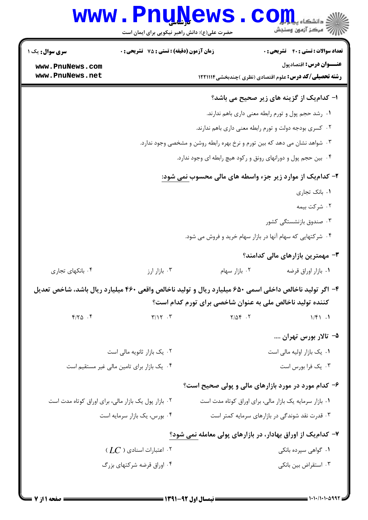|                                                                            | <b>www.PnuNews</b><br>حضرت علی(ع): دانش راهبر نیکویی برای ایمان است |                                                           | ج ' مرڪز آزمون وسنڊش                                                                                   |
|----------------------------------------------------------------------------|---------------------------------------------------------------------|-----------------------------------------------------------|--------------------------------------------------------------------------------------------------------|
| <b>سری سوال :</b> یک ۱                                                     | <b>زمان آزمون (دقیقه) : تستی : 75 تشریحی : 0</b>                    |                                                           | <b>تعداد سوالات : تستي : 40 - تشريحي : 0</b>                                                           |
| www.PnuNews.com<br>www.PnuNews.net                                         |                                                                     |                                                           | <b>عنـــوان درس:</b> اقتصادپول<br><b>رشته تحصیلی/کد درس:</b> علوم اقتصادی (نظری )چندبخشی1۲۲۱۱۱۴        |
|                                                                            |                                                                     |                                                           | ا- کدامیک از گزینه های زیر صحیح می باشد؟                                                               |
|                                                                            |                                                                     |                                                           | ٠١. رشد حجم پول و تورم رابطه معنى دارى باهم ندارند.                                                    |
|                                                                            |                                                                     |                                                           | ۰۲ کسری بودجه دولت و تورم رابطه معنی داری باهم ندارند.                                                 |
| ۰۳ شواهد نشان می دهد که بین تورم و نرخ بهره رابطه روشن و مشخصی وجود ندارد. |                                                                     |                                                           |                                                                                                        |
| ۰۴ بین حجم پول و دورانهای رونق و رکود هیچ رابطه ای وجود ندارد.             |                                                                     |                                                           |                                                                                                        |
| ۲- کدامیک از موارد زیر جزء واسطه های مالی محسوب نمی شود:                   |                                                                     |                                                           |                                                                                                        |
|                                                                            | ۰۱ بانک تجاری                                                       |                                                           |                                                                                                        |
|                                                                            |                                                                     |                                                           | ۰۲ شرکت بیمه                                                                                           |
|                                                                            |                                                                     |                                                           | ۰۳ صندوق بازنشستگی کشور                                                                                |
|                                                                            |                                                                     |                                                           | ۰۴ شرکتهایی که سهام آنها در بازار سهام خرید و فروش می شود.                                             |
|                                                                            |                                                                     |                                                           | <b>۳</b> - مهمترین بازارهای مالی کدامند؟                                                               |
| ۰۴ بانکهای تجاری                                                           | ۰۳ بازار ارز                                                        | ۰۲ بازار سهام                                             | ٠١. بازار اوراق قرضه                                                                                   |
|                                                                            |                                                                     | کننده تولید ناخالص ملی به عنوان شاخصی برای تورم کدام است؟ | ۴- اگر تولید ناخالص داخلی اسمی ۶۵۰ میلیارد ریال و تولید ناخالص واقعی ۴۶۰ میلیارد ریال باشد، شاخص تعدیل |
| $f/\gamma_0$ .                                                             | $\Upsilon/\Upsilon$ . $\Upsilon$                                    | $Y/\Delta f$ .                                            | 1/f1.1                                                                                                 |
|                                                                            |                                                                     |                                                           | ۵- تالار بورس تهران                                                                                    |
|                                                                            | ۰۲ یک بازار ثانویه مالی است                                         | ۰۱ یک بازار اولیه مالی است                                |                                                                                                        |
|                                                                            | ۰۴ یک بازار برای تامین مالی غیر مستقیم است                          | ۰۳ يک فرا بورس است                                        |                                                                                                        |
|                                                                            |                                                                     |                                                           | ۶- کدام مورد در مورد بازارهای مالی و پولی صحیح است؟                                                    |
| ۰۲ بازار پول یک بازار مالی، برای اوراق کوتاه مدت است                       |                                                                     |                                                           | ٠١ بازار سرمايه يک بازار مالى، براى اوراق كوتاه مدت است                                                |
| ۰۴ بورس، یک بازار سرمایه است                                               |                                                                     | ۰۳ قدرت نقد شوندگی در بازارهای سرمایه کمتر است            |                                                                                                        |
|                                                                            |                                                                     |                                                           | ۷- کدام یک از اوراق بهادار، در بازارهای پولی معامله نمی شود؟                                           |
|                                                                            | $\langle LC$ ) ۱۰ اعتبارات اسنادی (                                 |                                                           | ۰۱ گواهی سپرده بانکی                                                                                   |
|                                                                            | ۰۴ اوراق قرضه شرکتهای بزرگ                                          |                                                           | ۰۳ استقراض بين بانكي                                                                                   |
|                                                                            |                                                                     |                                                           |                                                                                                        |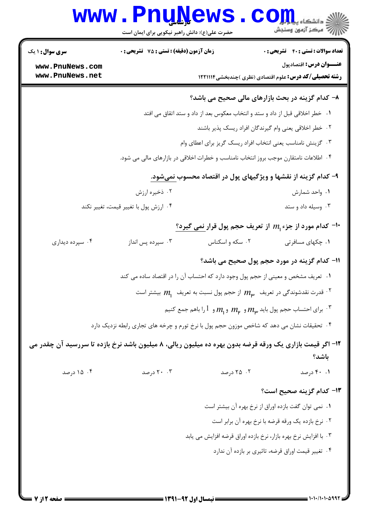|                                                               | <b>www.PnuNews</b><br>حضرت علی(ع): دانش راهبر نیکویی برای ایمان است                        |                 | (د دانشگاه پیاه اور<br>(د دانشگاه پیاه اور                                                                        |  |
|---------------------------------------------------------------|--------------------------------------------------------------------------------------------|-----------------|-------------------------------------------------------------------------------------------------------------------|--|
| <b>سری سوال : ۱ یک</b>                                        | زمان آزمون (دقیقه) : تستی : 75 گشریحی : 0                                                  |                 | <b>تعداد سوالات : تستی : 40 - تشریحی : 0</b>                                                                      |  |
| www.PnuNews.com                                               |                                                                                            |                 | عنـــوان درس: اقتصادپول                                                                                           |  |
| www.PnuNews.net                                               |                                                                                            |                 | <b>رشته تحصیلی/کد درس:</b> علوم اقتصادی (نظری )چندبخشی1۲۲۱۱۱۴                                                     |  |
|                                                               |                                                                                            |                 | ٨- كدام گزينه در بحث بازارهاي مالي صحيح مي باشد؟                                                                  |  |
|                                                               |                                                                                            |                 | ۰۱ خطر اخلاقی قبل از داد و ستد و انتخاب معکوس بعد از داد و ستد اتقاق می افتد                                      |  |
|                                                               |                                                                                            |                 | ۰۲ خطر اخلاقی یعنی وام گیرندگان افراد ریسک پذیر باشند                                                             |  |
|                                                               |                                                                                            |                 | ۰۳ گزینش نامناسب یعنی انتخاب افراد ریسک گریز برای اعطای وام                                                       |  |
|                                                               |                                                                                            |                 | ۰۴ اطلاعات نامتقارن موجب بروز انتخاب نامناسب و خطرات اخلاقی در بازارهای مالی می شود.                              |  |
| ۹- کدام گزینه از نقشها و ویژگیهای پول در اقتصاد محسوب نمیشود. |                                                                                            |                 |                                                                                                                   |  |
|                                                               | ۰۲ ذخیره ارزش                                                                              |                 | ٠١ واحد شمارش                                                                                                     |  |
|                                                               | ۰۴ ارزش پول با تغییر قیمت، تغییر نکند                                                      |                 | ۰۳ وسیله داد و ستد                                                                                                |  |
|                                                               |                                                                                            |                 | ∙۱- کدام مورد از جزء 11 از تعریف حجم پول قرار <u>نمی</u> گیرد؟                                                    |  |
| ۰۴ سپرده دیداری                                               | ۰۳ سپرده پس انداز                                                                          | ۰۲ سکه و اسکناس | ۰۱ چکهای مسافرتی                                                                                                  |  |
|                                                               |                                                                                            |                 | 11- کدام گزینه در مورد حجم پول صحیح می باشد؟                                                                      |  |
|                                                               | ۰۱ تعریف مشخص و معینی از حجم پول وجود دارد که احتساب آن را در اقتصاد ساده می کند           |                 |                                                                                                                   |  |
|                                                               |                                                                                            |                 | قدرت نقدشوندگی در تعریف $m_\mu$ از حجم پول نسبت به تعریف $m_1$ بیشتر است $^{\circ}$                               |  |
|                                                               |                                                                                            |                 | برای احتساب حجم پول باید $m_\mathsf{p}$ و $m_\mathsf{p}$ و $1$ را باهم جمع کنیم $\cdot^\mathrm{v}$                |  |
|                                                               | ۰۴ تحقیقات نشان می دهد که شاخص موزون حجم پول با نرخ تورم و چرخه های تجاری رابطه نزدیک دارد |                 |                                                                                                                   |  |
|                                                               |                                                                                            |                 | ۱۲- اگر قیمت بازاری یک ورقه قرضه بدون بهره ده میلیون ریالی، ۸ میلیون باشد نرخ بازده تا سررسید آن چقدر می<br>باشد؟ |  |
| ۰۴ درصد                                                       | ۲۰ . ۲۰ درصد                                                                               | ۰۲ درصد         | ۰.۱ ۴۰ درصد                                                                                                       |  |
|                                                               |                                                                                            |                 | ۱۳- کدام گزینه صحیح است؟                                                                                          |  |
|                                                               |                                                                                            |                 | ٠١ نمي توان گفت بازده اوراق از نرخ بهره آن بيشتر است                                                              |  |
|                                                               |                                                                                            |                 | ۰۲ نرخ بازده یک ورقه قرضه با نرخ بهره آن برابر است                                                                |  |
|                                                               |                                                                                            |                 | ۰۳ با افزایش نرخ بهره بازار، نرخ بازده اوراق قرضه افزایش می یابد                                                  |  |
|                                                               |                                                                                            |                 | ۰۴ تغییر قیمت اوراق قرضه، تاثیری بر بازده آن ندارد                                                                |  |
|                                                               |                                                                                            |                 |                                                                                                                   |  |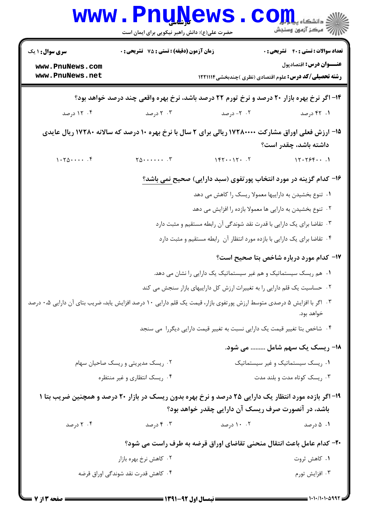|                                                                                                                                                             | <b>www.PnuNews</b><br>حضرت علی(ع): دانش راهبر نیکویی برای ایمان است                                 |                                                                             | ≤ دانشکاه پی <mark>ا ب</mark> ا<br>چ<br>رآ مرڪز آزمون وسنڊش |
|-------------------------------------------------------------------------------------------------------------------------------------------------------------|-----------------------------------------------------------------------------------------------------|-----------------------------------------------------------------------------|-------------------------------------------------------------|
| <b>سری سوال :</b> ۱ یک                                                                                                                                      | زمان آزمون (دقیقه) : تستی : 75 آتشریحی : 0                                                          |                                                                             | <b>تعداد سوالات : تستي : 40 ٪ تشريحي : 0</b>                |
| www.PnuNews.com<br>www.PnuNews.net                                                                                                                          |                                                                                                     | <b>رشته تحصیلی/کد درس:</b> علوم اقتصادی (نظری )چندبخشی1۲۲۱۱۱۴               | عنـــوان درس: اقتصادپول                                     |
|                                                                                                                                                             | ۱۴- اگر نرخ بهره بازار ۲۰ درصد و نرخ تورم ۲۲ درصد باشد، نرخ بهره واقعی چند درصد خواهد بود؟          |                                                                             |                                                             |
| ۰۴ درصد                                                                                                                                                     | ۰۳ درصد                                                                                             | ۰۲ - ۱ درصد                                                                 | ۰۱ ۴۲ درصد                                                  |
|                                                                                                                                                             | ۱۵- ارزش فعلی اوراق مشارکت ۱۷۲۸۰۰۰۰ ریالی برای ۲ سال با نرخ بهره ۱۰ درصد که سالانه ۱۷۲۸۰ ریال عایدی |                                                                             | داشته باشد، چقدر است؟                                       |
| 1.70                                                                                                                                                        | $Y_0$ $Y$                                                                                           | $157 \cdot 17 \cdot 7$                                                      | 11.15561                                                    |
|                                                                                                                                                             |                                                                                                     | ۱۶- کدام گزینه در مورد انتخاب پورتفوی (سبد دارایی) صحیح نمی باشد؟           |                                                             |
|                                                                                                                                                             |                                                                                                     | ۰۱ تنوع بخشیدن به داراییها معمولا ریسک را کاهش می دهد                       |                                                             |
|                                                                                                                                                             |                                                                                                     | ۰۲ تنوع بخشیدن به دارایی ها معمولا بازده را افزایش می دهد                   |                                                             |
|                                                                                                                                                             |                                                                                                     | ۰۳ تقاضا برای یک دارایی با قدرت نقد شوندگی آن رابطه مستقیم و مثبت دارد      |                                                             |
|                                                                                                                                                             |                                                                                                     | ۰۴ تقاضا برای یک دارایی با بازده مورد انتظار آن رابطه مستقیم و مثبت دارد    |                                                             |
|                                                                                                                                                             |                                                                                                     |                                                                             | <b>۱۷- کدام مورد درباره شاخص بتا صحیح است</b> ؟             |
|                                                                                                                                                             |                                                                                                     | ۰۱ هم ریسک سیستماتیک و هم غیر سیستماتیک یک دارایی را نشان می دهد.           |                                                             |
|                                                                                                                                                             |                                                                                                     | ۰۲ حساسیت یک قلم دارایی را به تغییرات ارزش کل داراییهای بازار سنجش می کند   |                                                             |
| ۰۳ اگر با افزایش ۵ درصدی متوسط ارزش پورتفوی بازار، قیمت یک قلم دارایی ۱۰ درصد افزایش یابد، ضریب بتای آن دارایی ۰،۵ درصد                                     |                                                                                                     |                                                                             | خواهد بود.                                                  |
|                                                                                                                                                             |                                                                                                     | ۰۴ شاخص بتا تغییر قیمت یک دارایی نسبت به تغییر قیمت دارایی دیگررا ً می سنجد |                                                             |
|                                                                                                                                                             |                                                                                                     |                                                                             | 1۸- ریسک یک سهم شامل  می شود.                               |
|                                                                                                                                                             | ۰۲ ریسک مدیریتی و ریسک صاحیان سهام                                                                  |                                                                             | ۰۱ ریسک سیستماتیک و غیر سیستماتیک                           |
|                                                                                                                                                             | ۰۴ ریسک انتظاری و غیر منتظره                                                                        |                                                                             | ۰۳ ریسک کوتاه مدت و بلند مدت                                |
| ۱۹- اگر بازده مورد انتظار یک دارایی ۲۵ درصد و نرخ بهره بدون ریسک در بازار ۲۰ درصد و همچنین ضریب بتا ۱<br>باشد، در آنصورت صرف ریسک آن دارایی چقدر خواهد بود؟ |                                                                                                     |                                                                             |                                                             |
| ۰۴ درصد                                                                                                                                                     | ۰۳ درصد                                                                                             | ۰۰ ۱۰ درصد                                                                  | ۰۱ ۵ درصد                                                   |
|                                                                                                                                                             |                                                                                                     | +۲- کدام عامل باعث انتقال منحنی تقاضای اوراق قرضه به طرف راست می شود؟       |                                                             |
|                                                                                                                                                             | ۰۲ کاهش نرخ بهره بازار                                                                              |                                                                             | ۰۱ کاهش ثروت                                                |
|                                                                                                                                                             | ۰۴ کاهش قدرت نقد شوندگی اوراق قرضه                                                                  |                                                                             | ۰۳ افزايش تورم                                              |
|                                                                                                                                                             |                                                                                                     |                                                                             |                                                             |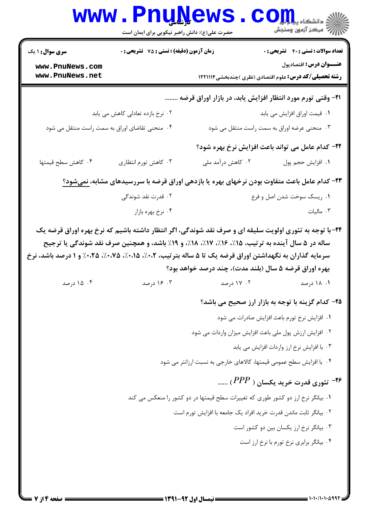|                                    | حضرت علی(ع): دانش راهبر نیکویی برای ایمان است                                                                                                                                                                          | <b>www.PnuNews</b>                                                                 | رازان کا دانشکاه پیابانیان <mark>کا</mark><br>۱۳۸۸ - مرکز آزمون وسنجش                                             |
|------------------------------------|------------------------------------------------------------------------------------------------------------------------------------------------------------------------------------------------------------------------|------------------------------------------------------------------------------------|-------------------------------------------------------------------------------------------------------------------|
| <b>سری سوال : ۱ یک</b>             | <b>زمان آزمون (دقیقه) : تستی : 75 تشریحی : 0</b>                                                                                                                                                                       |                                                                                    | <b>تعداد سوالات : تستی : 40 - تشریحی : 0</b>                                                                      |
| www.PnuNews.com<br>www.PnuNews.net |                                                                                                                                                                                                                        |                                                                                    | عنـــوان درس: اقتصادپول<br><b>رشته تحصیلی/کد درس:</b> علوم اقتصادی (نظری )چندبخشی1۲۲۱۱۱۴                          |
|                                    |                                                                                                                                                                                                                        |                                                                                    | ۲۱- وقتی تورم مورد انتظار افزایش یابد، در بازار اوراق قرضه                                                        |
|                                    | ۰۲ نرخ بازده تعادلی کاهش می یابد                                                                                                                                                                                       |                                                                                    | ۰۱ قیمت اوراق افزایش می یابد                                                                                      |
|                                    | ۰۴ منحنی تقاضای اوراق به سمت راست منتقل می شود                                                                                                                                                                         |                                                                                    | ۰۳ منحنی عرضه اوراق به سمت راست منتقل می شود                                                                      |
|                                    |                                                                                                                                                                                                                        |                                                                                    | <b>۲۲- کدام عامل می تواند باعث افزایش نرخ بهره شود؟</b>                                                           |
| ۰۴ کاهش سطح قیمتها                 | ۰۳ کاهش تورم انتظاری                                                                                                                                                                                                   | ۰۲ کاهش درآمد ملی                                                                  | ٠١. افزايش حجم پول                                                                                                |
|                                    |                                                                                                                                                                                                                        |                                                                                    | <b>۲۳</b> - کدام عامل باعث متفاوت بودن نرخهای بهره یا بازدهی اوراق قرضه با سررسیدهای مشابه، نمیشود؟               |
|                                    | ۰۲ قدرت نقد شوندگی                                                                                                                                                                                                     |                                                                                    | ٠١ ريسك سوخت شدن اصل و فرع                                                                                        |
|                                    | ۰۴ نرخ بهره بازار                                                                                                                                                                                                      |                                                                                    | ۰۳ مالیات                                                                                                         |
| ۰۴ دا درصد                         | ساله در ۵ سال آینده به ترتیب، ۱۵٪، ۱۶٪، ۱۷٪، ۱۸٪، و ۱۹٪ باشد، و همچنین صرف نقد شوندگی یا ترجیح<br>سرمایه گذاران به نگهداشتن اوراق قرضه یک تا ۵ ساله بترتیب، ۰،۲٪، ۰،۱۵٪، ۰،۷۵٪، ۰،۲۵٪ و ۱ درصد باشد، نرخ<br>۰۳ ۱۶ د,صد | بهره اوراق قرضه ۵ سال (بلند مدت)، چند درصد خواهد بود؟<br>۰۱ ۱۸ درصد سال ۲۰۰۳ در سد | ۲۴- با توجه به تئوری اولویت سلیقه ای و صرف نقد شوندگی، اگر انتظار داشته باشیم که نرخ بهره اوراق قرضه یک           |
|                                    |                                                                                                                                                                                                                        |                                                                                    | ۲۵- کدام گزینه با توجه به بازار ارز صحیح می باشد؟                                                                 |
|                                    |                                                                                                                                                                                                                        |                                                                                    | ٠١ افزايش نرخ تورم باعث افزايش صادرات مي شود                                                                      |
|                                    |                                                                                                                                                                                                                        |                                                                                    |                                                                                                                   |
|                                    |                                                                                                                                                                                                                        |                                                                                    |                                                                                                                   |
|                                    |                                                                                                                                                                                                                        |                                                                                    | ٠٢ افزايش ارزش پول ملي باعث افزايش ميزان واردات مي شود                                                            |
|                                    |                                                                                                                                                                                                                        |                                                                                    | ۰۳ با افزایش نرخ ارز واردات افزایش می یابد<br>۰۴ با افزایش سطح عمومی قیمتها، کالاهای خارجی به نسبت ارزانتر می شود |
|                                    |                                                                                                                                                                                                                        |                                                                                    | س ۲۶– تئوري قدرت خريد يکسان ( $PPP$ )                                                                             |
|                                    |                                                                                                                                                                                                                        |                                                                                    | ۰۱ بیانگر نرخ ارز دو کشور طوری که تغییرات سطح قیمتها در دو کشور را منعکس می کند                                   |
|                                    |                                                                                                                                                                                                                        |                                                                                    | ٠٢ بيانگر ثابت ماندن قدرت خريد افراد يک جامعه با افزايش تورم است                                                  |
|                                    |                                                                                                                                                                                                                        |                                                                                    | ۰۳ بیانگر نرخ ارز یکسان بین دو کشور است<br>۰۴ بیانگر برابری نرخ تورم با نرخ ارز است                               |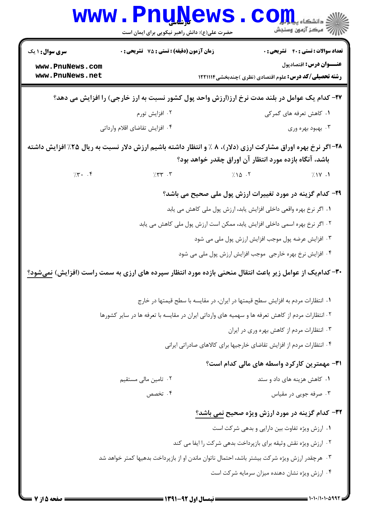| <b>سری سوال : ۱ یک</b>             | زمان آزمون (دقیقه) : تستی : 75 ٪ تشریحی : 0                                                                  | <b>تعداد سوالات : تستی : 40 - تشریحی : 0</b>                                                                     |
|------------------------------------|--------------------------------------------------------------------------------------------------------------|------------------------------------------------------------------------------------------------------------------|
| www.PnuNews.com<br>www.PnuNews.net |                                                                                                              | عنـــوان درس: اقتصادپول<br><b>رشته تحصیلی/کد درس:</b> علوم اقتصادی (نظری )چندبخشی1۲۲۱۱۱۴                         |
|                                    |                                                                                                              | ۲۷- کدام یک عوامل در بلند مدت نرخ ارز(ارزش واحد پول کشور نسبت به ارز خارجی) را افزایش می دهد؟                    |
|                                    | ۰۲ افزایش تورم                                                                                               | ۱. کاهش تعرفه های گمرکی                                                                                          |
|                                    | ۰۴ افزایش تقاضای اقلام وارداتی                                                                               | ۰۳ بهبود بهره وری                                                                                                |
|                                    |                                                                                                              | ۲۸- اگر نرخ بهره اوراق مشارکت ارزی (دلار)، ۸ ٪ و انتظار داشته باشیم ارزش دلار نسبت به ریال ۲۵٪ افزایش داشته      |
|                                    |                                                                                                              | باشد، آنگاه بازده مورد انتظار آن اوراق چقدر خواهد بود؟                                                           |
| 7.7.7                              | $7.77$ $.7$                                                                                                  | $7.10 \cdot 7$<br>7.1Y.1                                                                                         |
|                                    |                                                                                                              | ۲۹- کدام گزینه در مورد تغییرات ارزش پول ملی صحیح می باشد؟                                                        |
|                                    |                                                                                                              | ۰۱ اگر نرخ بهره واقعی داخلی افزایش یابد، ارزش پول ملی کاهش می یابد                                               |
|                                    |                                                                                                              | ۲ . اگر نرخ بهره اسمی داخلی افزایش یابد، ممکن است ارزش پول ملی کاهش می یابد                                      |
|                                    |                                                                                                              | ۰۳ افزایش عرضه پول موجب افزایش ارزش پول ملی می شود                                                               |
|                                    |                                                                                                              | ۰۴ افزایش نرخ بهره خارجی  موجب افزایش ارزش پول ملی می شود                                                        |
|                                    |                                                                                                              | <b>۳۰</b> – کدام یک از عوامل زیر باعث انتقال منحنی بازده مورد انتظار سپرده های ارزی به سمت راست (افزایش) نمیشود؟ |
|                                    |                                                                                                              | ۰۱ انتظارات مردم به افزایش سطح قیمتها در ایران، در مقایسه با سطح قیمتها در خارج                                  |
|                                    | <sup>۲</sup> ۰ انتظارات مردم از کاهش تعرفه ها و سهمیه های وارداتی ایران در مقایسه با تعرفه ها در سایر کشورها |                                                                                                                  |
|                                    |                                                                                                              | ۰۳ انتظارات مردم از کاهش بهره وری در ایران                                                                       |
|                                    |                                                                                                              | ۰۴ انتظارات مردم از افزایش تقاضای خارجیها برای کالاهای صادراتی ایرانی                                            |
|                                    |                                                                                                              | <b>۳۱</b> - مهمترین کارکرد واسطه های مالی کدام است؟                                                              |
|                                    | ۰۲ تامین مالی مستقیم                                                                                         | ۰۱ کاهش هزینه های داد و ستد                                                                                      |
|                                    | ۰۴ تخصص                                                                                                      | ۰۳ صرفه جویی در مقیاس                                                                                            |
|                                    |                                                                                                              | 32- کدام گزینه در مورد ارزش ویژه صحیح نمی باشد؟                                                                  |
|                                    |                                                                                                              | ۰۱ ارزش ویژه تفاوت بین دارایی و بدهی شرکت است                                                                    |
|                                    |                                                                                                              | ۰۲ ارزش ویژه نقش وثیقه برای بازپرداخت بدهی شرکت را ایفا می کند                                                   |
|                                    | ۰۳ هرچقدر ارزش ویژه شرکت بیشتر باشد، احتمال ناتوان ماندن او از بازپرداخت بدهیها کمتر خواهد شد                |                                                                                                                  |
|                                    |                                                                                                              | ۰۴ ارزش ویژه نشان دهنده میزان سرمایه شرکت است                                                                    |
|                                    |                                                                                                              |                                                                                                                  |

**1999** 

11111111111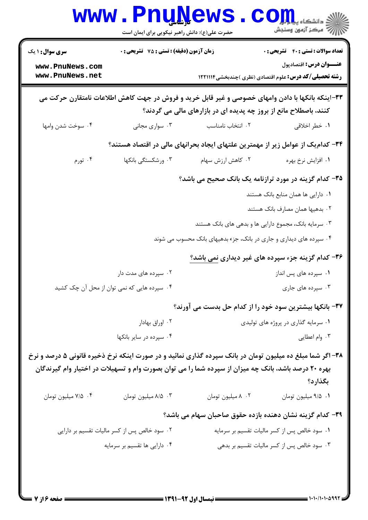|                                                                                                           | <b>www.PnuNews</b><br>حضرت علی(ع): دانش راهبر نیکویی برای ایمان است |                                                                                                                                                                       | $\text{C}$ Ojn, elistris<br>رآب مرڪز آزمون وسنڊش                                         |
|-----------------------------------------------------------------------------------------------------------|---------------------------------------------------------------------|-----------------------------------------------------------------------------------------------------------------------------------------------------------------------|------------------------------------------------------------------------------------------|
| <b>سری سوال : ۱ یک</b>                                                                                    | زمان آزمون (دقیقه) : تستی : 75 ٪ تشریحی : 0                         |                                                                                                                                                                       | <b>تعداد سوالات : تستی : 40 قشریحی : 0</b>                                               |
| www.PnuNews.com<br>www.PnuNews.net                                                                        |                                                                     |                                                                                                                                                                       | عنـــوان درس: اقتصادپول<br><b>رشته تحصیلی/کد درس:</b> علوم اقتصادی (نظری )چندبخشی1۲۲۱۱۱۴ |
|                                                                                                           |                                                                     | ۳۳–اینکه بانکها با دادن وامهای خصوصی و غیر قابل خرید و فروش در جهت کاهش اطلاعات نامتقارن حرکت می<br>کنند، باصطلاح مانع از بروز چه پدیده ای در بازارهای مالی می گردند؟ |                                                                                          |
| ۰۴ سوخت شدن وامها                                                                                         | ۰۳ سواری مجانی                                                      | ۰۲ انتخاب نامناسب                                                                                                                                                     | ۰۱ خطر اخلاقی                                                                            |
|                                                                                                           |                                                                     |                                                                                                                                                                       | ۳۴– کدام یک از عوامل زیر از مهمترین علتهای ایجاد بحرانهای مالی در اقتصاد هستند؟          |
| ۰۴ تورم                                                                                                   | ۰۳ ورشکستگی بانکها                                                  | ۰۲ کاهش ارزش سهام                                                                                                                                                     | ۰۱ افزایش نرخ بهره                                                                       |
|                                                                                                           |                                                                     | ۳۵- کدام گزینه در مورد ترازنامه یک بانک صحیح می باشد؟                                                                                                                 |                                                                                          |
|                                                                                                           |                                                                     |                                                                                                                                                                       | ۰۱ دارایی ها همان منابع بانک هستند                                                       |
|                                                                                                           |                                                                     |                                                                                                                                                                       | ۰۲ بدهیها همان مصارف بانک هستند                                                          |
|                                                                                                           |                                                                     | ۰۳ سرمایه بانک، مجموع دارایی ها و بدهی های بانک هستند                                                                                                                 |                                                                                          |
|                                                                                                           |                                                                     | ۰۴ سپرده های دیداری و جاری در بانک، جزء بدهیهای بانک محسوب می شوند                                                                                                    |                                                                                          |
|                                                                                                           |                                                                     |                                                                                                                                                                       | ۳۶- کدام گزینه جزء سپرده های غیر دیداری نمی باشد؟                                        |
|                                                                                                           | ۰۲ سپرده های مدت دار                                                |                                                                                                                                                                       | ۰۱ سپرده های پس انداز                                                                    |
|                                                                                                           | ۰۴ سپرده هایی که نمی توان از محل آن چک کشید                         |                                                                                                                                                                       | ۰۳ سپرده های جاری                                                                        |
|                                                                                                           |                                                                     | ٣٧- بانکها بيشترين سود خود را از کدام حل بدست مي آورند؟                                                                                                               |                                                                                          |
|                                                                                                           | ۰۲ اوراق بهادار                                                     |                                                                                                                                                                       | ۰۱ سرمایه گذاری در پروژه های تولیدی                                                      |
|                                                                                                           | ۰۴ سپرده در سایر بانکها                                             |                                                                                                                                                                       | ۰۳ وام اعطایی                                                                            |
| ۳۸- اگر شما مبلغ ده میلیون تومان در بانک سپرده گذاری نمائید و در صورت اینکه نرخ ذخیره قانونی ۵ درصد و نرخ |                                                                     | بهره ۲۰ درصد باشد، بانک چه میزان از سپرده شما را می توان بصورت وام و تسهیلات در اختیار وام گیرندگان                                                                   | بگذارد؟                                                                                  |
| ۰۴ میلیون تومان                                                                                           | ٠٣ ٨/٨ ميليون تومان                                                 | ٠٢ ٨ ميليون تومان                                                                                                                                                     | ٠١ ٩/٥ ميليون تومان                                                                      |
|                                                                                                           |                                                                     | ۳۹– کدام گزینه نشان دهنده بازده حقوق صاحبان سهام می باشد؟                                                                                                             |                                                                                          |
|                                                                                                           | ۰۲ سود خالص پس از کسر مالیات تقسیم بر دارایی                        |                                                                                                                                                                       | ٠١ سود خالص پس از كسر ماليات تقسيم بر سرمايه                                             |
|                                                                                                           | ۰۴ دارایی ها تقسیم بر سرمایه                                        |                                                                                                                                                                       | ۰۳ سود خالص پس از کسر مالیات تقسیم بر بدهی                                               |
|                                                                                                           |                                                                     |                                                                                                                                                                       |                                                                                          |